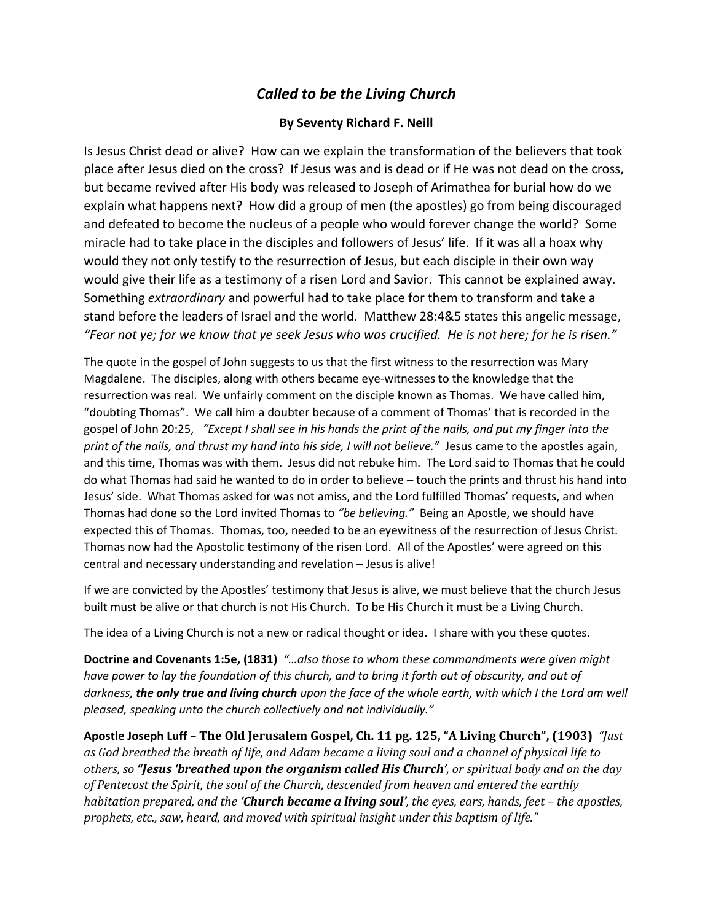## *Called to be the Living Church*

## **By Seventy Richard F. Neill**

Is Jesus Christ dead or alive? How can we explain the transformation of the believers that took place after Jesus died on the cross? If Jesus was and is dead or if He was not dead on the cross, but became revived after His body was released to Joseph of Arimathea for burial how do we explain what happens next? How did a group of men (the apostles) go from being discouraged and defeated to become the nucleus of a people who would forever change the world? Some miracle had to take place in the disciples and followers of Jesus' life. If it was all a hoax why would they not only testify to the resurrection of Jesus, but each disciple in their own way would give their life as a testimony of a risen Lord and Savior. This cannot be explained away. Something *extraordinary* and powerful had to take place for them to transform and take a stand before the leaders of Israel and the world. Matthew 28:4&5 states this angelic message, *"Fear not ye; for we know that ye seek Jesus who was crucified. He is not here; for he is risen."*

The quote in the gospel of John suggests to us that the first witness to the resurrection was Mary Magdalene. The disciples, along with others became eye-witnesses to the knowledge that the resurrection was real. We unfairly comment on the disciple known as Thomas. We have called him, "doubting Thomas". We call him a doubter because of a comment of Thomas' that is recorded in the gospel of John 20:25, *"Except I shall see in his hands the print of the nails, and put my finger into the print of the nails, and thrust my hand into his side, I will not believe."* Jesus came to the apostles again, and this time, Thomas was with them. Jesus did not rebuke him. The Lord said to Thomas that he could do what Thomas had said he wanted to do in order to believe – touch the prints and thrust his hand into Jesus' side. What Thomas asked for was not amiss, and the Lord fulfilled Thomas' requests, and when Thomas had done so the Lord invited Thomas to *"be believing."* Being an Apostle, we should have expected this of Thomas. Thomas, too, needed to be an eyewitness of the resurrection of Jesus Christ. Thomas now had the Apostolic testimony of the risen Lord. All of the Apostles' were agreed on this central and necessary understanding and revelation – Jesus is alive!

If we are convicted by the Apostles' testimony that Jesus is alive, we must believe that the church Jesus built must be alive or that church is not His Church. To be His Church it must be a Living Church.

The idea of a Living Church is not a new or radical thought or idea. I share with you these quotes.

**Doctrine and Covenants 1:5e, (1831)** *"…also those to whom these commandments were given might have power to lay the foundation of this church, and to bring it forth out of obscurity, and out of darkness, the only true and living church upon the face of the whole earth, with which I the Lord am well pleased, speaking unto the church collectively and not individually."*

**Apostle Joseph Luff – The Old Jerusalem Gospel, Ch. 11 pg. 125, "A Living Church", (1903)** *"Just as God breathed the breath of life, and Adam became a living soul and a channel of physical life to others, so "Jesus 'breathed upon the organism called His Church', or spiritual body and on the day of Pentecost the Spirit, the soul of the Church, descended from heaven and entered the earthly habitation prepared, and the <i>Church became a living soul'*, the eyes, ears, hands, feet – the apostles, *prophets, etc., saw, heard, and moved with spiritual insight under this baptism of life."*